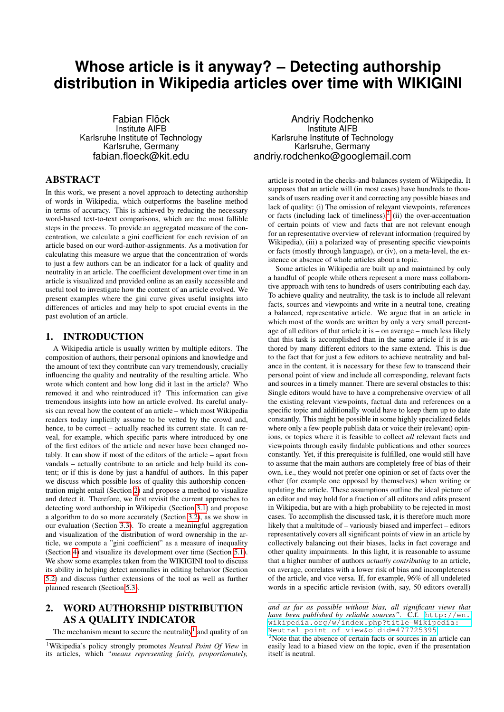# **Whose article is it anyway? – Detecting authorship distribution in Wikipedia articles over time with WIKIGINI**

Fabian Flöck Institute AIFB Karlsruhe Institute of Technology Karlsruhe, Germany fabian.floeck@kit.edu

### ABSTRACT

In this work, we present a novel approach to detecting authorship of words in Wikipedia, which outperforms the baseline method in terms of accuracy. This is achieved by reducing the necessary word-based text-to-text comparisons, which are the most fallible steps in the process. To provide an aggregated measure of the concentration, we calculate a gini coefficient for each revision of an article based on our word-author-assignments. As a motivation for calculating this measure we argue that the concentration of words to just a few authors can be an indicator for a lack of quality and neutrality in an article. The coefficient development over time in an article is visualized and provided online as an easily accessible and useful tool to investigate how the content of an article evolved. We present examples where the gini curve gives useful insights into differences of articles and may help to spot crucial events in the past evolution of an article.

### 1. INTRODUCTION

A Wikipedia article is usually written by multiple editors. The composition of authors, their personal opinions and knowledge and the amount of text they contribute can vary tremendously, crucially influencing the quality and neutrality of the resulting article. Who wrote which content and how long did it last in the article? Who removed it and who reintroduced it? This information can give tremendous insights into how an article evolved. Its careful analysis can reveal how the content of an article – which most Wikipedia readers today implicitly assume to be vetted by the crowd and, hence, to be correct – actually reached its current state. It can reveal, for example, which specific parts where introduced by one of the first editors of the article and never have been changed notably. It can show if most of the editors of the article – apart from vandals – actually contribute to an article and help build its content; or if this is done by just a handful of authors. In this paper we discuss which possible loss of quality this authorship concentration might entail (Section [2\)](#page-0-0) and propose a method to visualize and detect it. Therefore, we first revisit the current approaches to detecting word authorship in Wikipedia (Section [3.1\)](#page-1-0) and propose a algorithm to do so more accurately (Section [3.2\)](#page-1-1), as we show in our evaluation (Section [3.3\)](#page-2-0). To create a meaningful aggregation and visualization of the distribution of word ownership in the article, we compute a "gini coefficient" as a measure of inequality (Section [4\)](#page-2-1) and visualize its development over time (Section [5.1\)](#page-2-2). We show some examples taken from the WIKIGINI tool to discuss its ability in helping detect anomalies in editing behavior (Section [5.2\)](#page-3-0) and discuss further extensions of the tool as well as further planned research (Section [5.3\)](#page-4-0).

# <span id="page-0-0"></span>2. WORD AUTHORSHIP DISTRIBUTION AS A QUALITY INDICATOR

The mechanism meant to secure the neutrality<sup>[1](#page-0-1)</sup> and quality of an

<span id="page-0-1"></span><sup>1</sup>Wikipedia's policy strongly promotes *Neutral Point Of View* in its articles, which *"means representing fairly, proportionately,*

Andriy Rodchenko Institute AIFB Karlsruhe Institute of Technology Karlsruhe, Germany andriy.rodchenko@googlemail.com

article is rooted in the checks-and-balances system of Wikipedia. It supposes that an article will (in most cases) have hundreds to thousands of users reading over it and correcting any possible biases and lack of quality: (i) The omission of relevant viewpoints, references or facts (including lack of timeliness), $\frac{2}{1}$  $\frac{2}{1}$  $\frac{2}{1}$  (ii) the over-accentuation of certain points of view and facts that are not relevant enough for an representative overview of relevant information (required by Wikipedia), (iii) a polarized way of presenting specific viewpoints or facts (mostly through language), or (iv), on a meta-level, the existence or absence of whole articles about a topic.

Some articles in Wikipedia are built up and maintained by only a handful of people while others represent a more mass collaborative approach with tens to hundreds of users contributing each day. To achieve quality and neutrality, the task is to include all relevant facts, sources and viewpoints and write in a neutral tone, creating a balanced, representative article. We argue that in an article in which most of the words are written by only a very small percentage of all editors of that article it is – on average – much less likely that this task is accomplished than in the same article if it is authored by many different editors to the same extend. This is due to the fact that for just a few editors to achieve neutrality and balance in the content, it is necessary for these few to transcend their personal point of view and include all corresponding, relevant facts and sources in a timely manner. There are several obstacles to this: Single editors would have to have a comprehensive overview of all the existing relevant viewpoints, factual data and references on a specific topic and additionally would have to keep them up to date constantly. This might be possible in some highly specialized fields where only a few people publish data or voice their (relevant) opinions, or topics where it is feasible to collect *all* relevant facts and viewpoints through easily findable publications and other sources constantly. Yet, if this prerequisite is fulfilled, one would still have to assume that the main authors are completely free of bias of their own, i.e., they would not prefer one opinion or set of facts over the other (for example one opposed by themselves) when writing or updating the article. These assumptions outline the ideal picture of an editor and may hold for a fraction of all editors and edits present in Wikipedia, but are with a high probability to be rejected in most cases. To accomplish the discussed task, it is therefore much more likely that a multitude of – variously biased and imperfect – editors representatively covers all significant points of view in an article by collectively balancing out their biases, lacks in fact coverage and other quality impairments. In this light, it is reasonable to assume that a higher number of authors *actually contributing* to an article, on average, correlates with a lower risk of bias and incompleteness of the article, and vice versa. If, for example, 96% of all undeleted words in a specific article revision (with, say, 50 editors overall)

*and as far as possible without bias, all significant views that have been published by reliable sources"*. C.f. [http://en.]( http://en.wikipedia.org/w/index.php?title=Wikipedia:Neutral_point_of_view&ol did=477725395) [wikipedia.org/w/index.php?title=Wikipedia:]( http://en.wikipedia.org/w/index.php?title=Wikipedia:Neutral_point_of_view&ol did=477725395) [Neutral\\_point\\_of\\_view&oldid=477725395]( http://en.wikipedia.org/w/index.php?title=Wikipedia:Neutral_point_of_view&ol did=477725395).

<span id="page-0-2"></span><sup>&</sup>lt;sup>2</sup>Note that the absence of certain facts or sources in an article can easily lead to a biased view on the topic, even if the presentation itself is neutral.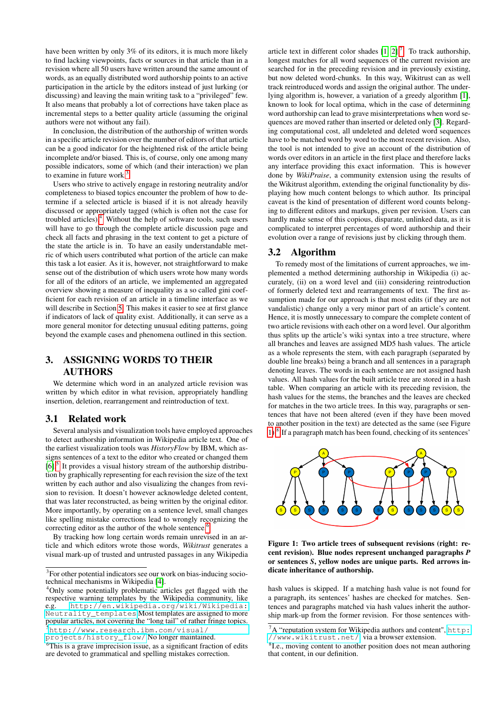have been written by only 3% of its editors, it is much more likely to find lacking viewpoints, facts or sources in that article than in a revision where all 50 users have written around the same amount of words, as an equally distributed word authorship points to an active participation in the article by the editors instead of just lurking (or discussing) and leaving the main writing task to a "privileged" few. It also means that probably a lot of corrections have taken place as incremental steps to a better quality article (assuming the original authors were not without any fail).

In conclusion, the distribution of the authorship of written words in a specific article revision over the number of editors of that article can be a good indicator for the heightened risk of the article being incomplete and/or biased. This is, of course, only one among many possible indicators, some of which (and their interaction) we plan to examine in future work.<sup>[3](#page-1-2)</sup>

Users who strive to actively engage in restoring neutrality and/or completeness to biased topics encounter the problem of how to determine if a selected article is biased if it is not already heavily discussed or appropriately tagged (which is often not the case for troubled articles).[4](#page-1-3) Without the help of software tools, such users will have to go through the complete article discussion page and check all facts and phrasing in the text content to get a picture of the state the article is in. To have an easily understandable metric of which users contributed what portion of the article can make this task a lot easier. As it is, however, not straightforward to make sense out of the distribution of which users wrote how many words for all of the editors of an article, we implemented an aggregated overview showing a measure of inequality as a so called gini coefficient for each revision of an article in a timeline interface as we will describe in Section [5.](#page-2-3) This makes it easier to see at first glance if indicators of lack of quality exist. Additionally, it can serve as a more general monitor for detecting unusual editing patterns, going beyond the example cases and phenomena outlined in this section.

# 3. ASSIGNING WORDS TO THEIR AUTHORS

We determine which word in an analyzed article revision was written by which editor in what revision, appropriately handling insertion, deletion, rearrangement and reintroduction of text.

### <span id="page-1-0"></span>3.1 Related work

Several analysis and visualization tools have employed approaches to detect authorship information in Wikipedia article text. One of the earliest visualization tools was *HistoryFlow* by IBM, which assigns sentences of a text to the editor who created or changed them [\[6\]](#page-4-1).<sup>[5](#page-1-4)</sup> It provides a visual history stream of the authorship distribution by graphically representing for each revision the size of the text written by each author and also visualizing the changes from revision to revision. It doesn't however acknowledge deleted content, that was later reconstructed, as being written by the original editor. More importantly, by operating on a sentence level, small changes like spelling mistake corrections lead to wrongly recognizing the correcting editor as the author of the whole sentence.<sup>[6](#page-1-5)</sup>

By tracking how long certain words remain unrevised in an article and which editors wrote those words, *Wikitrust* generates a visual mark-up of trusted and untrusted passages in any Wikipedia

<span id="page-1-4"></span>[projects/history\\_flow/](http://www.research.ibm.com/visual/projects/history_flow/) No longer maintained.

article text in different color shades  $[1, 2]$  $[1, 2]$ .<sup>[7](#page-1-6)</sup>. To track authorship, longest matches for all word sequences of the current revision are searched for in the preceding revision and in previously existing, but now deleted word-chunks. In this way, Wikitrust can as well track reintroduced words and assign the original author. The underlying algorithm is, however, a variation of a greedy algorithm [\[1\]](#page-4-3), known to look for local optima, which in the case of determining word authorship can lead to grave misinterpretations when word sequences are moved rather than inserted or deleted only [\[3\]](#page-4-5). Regarding computational cost, all undeleted and deleted word sequences have to be matched word by word to the most recent revision. Also, the tool is not intended to give an account of the distribution of words over editors in an article in the first place and therefore lacks any interface providing this exact information. This is however done by *WikiPraise*, a community extension using the results of the Wikitrust algorithm, extending the original functionality by displaying how much content belongs to which author. Its principal caveat is the kind of presentation of different word counts belonging to different editors and markups, given per revision. Users can hardly make sense of this copious, disparate, unlinked data, as it is complicated to interpret percentages of word authorship and their evolution over a range of revisions just by clicking through them.

### <span id="page-1-1"></span>3.2 Algorithm

To remedy most of the limitations of current approaches, we implemented a method determining authorship in Wikipedia (i) accurately, (ii) on a word level and (iii) considering reintroduction of formerly deleted text and rearrangements of text. The first assumption made for our approach is that most edits (if they are not vandalistic) change only a very minor part of an article's content. Hence, it is mostly unnecessary to compare the complete content of two article revisions with each other on a word level. Our algorithm thus splits up the article's wiki syntax into a tree structure, where all branches and leaves are assigned MD5 hash values. The article as a whole represents the stem, with each paragraph (separated by double line breaks) being a branch and all sentences in a paragraph denoting leaves. The words in each sentence are not assigned hash values. All hash values for the built article tree are stored in a hash table. When comparing an article with its preceding revision, the hash values for the stems, the branches and the leaves are checked for matches in the two article trees. In this way, paragraphs or sentences that have not been altered (even if they have been moved to another position in the text) are detected as the same (see Figure [1\)](#page-1-7).<sup>[8](#page-1-8)</sup> If a paragraph match has been found, checking of its sentences'



<span id="page-1-7"></span>Figure 1: Two article trees of subsequent revisions (right: recent revision). Blue nodes represent unchanged paragraphs *P* or sentences *S*, yellow nodes are unique parts. Red arrows indicate inheritance of authorship.

hash values is skipped. If a matching hash value is not found for a paragraph, its sentences' hashes are checked for matches. Sentences and paragraphs matched via hash values inherit the authorship mark-up from the former revision. For those sentences with-

<span id="page-1-2"></span><sup>&</sup>lt;sup>3</sup>For other potential indicators see our work on bias-inducing sociotechnical mechanisms in Wikipedia [\[4\]](#page-4-2).

<span id="page-1-3"></span><sup>&</sup>lt;sup>4</sup>Only some potentially problematic articles get flagged with the respective warning templates by the Wikipedia community, like e.g. [http://en.wikipedia.org/wiki/Wikipedia:](http://en.wikipedia.org/wiki/Wikipedia:Neutrality_templates) [Neutrality\\_templates](http://en.wikipedia.org/wiki/Wikipedia:Neutrality_templates) Most templates are assigned to more popular articles, not covering the "long tail" of rather fringe topics. <sup>5</sup>[http://www.research.ibm.com/visual/](http://www.research.ibm.com/visual/projects/history_flow/)

<span id="page-1-5"></span> ${}^{6}$ This is a grave imprecision issue, as a significant fraction of edits are devoted to grammatical and spelling mistakes correction.

<span id="page-1-6"></span> ${}^{7}A$  "reputation system for Wikipedia authors and content", [http:](http://www.wikitrust.net/) [//www.wikitrust.net/](http://www.wikitrust.net/), via a browser extension.

<span id="page-1-8"></span><sup>&</sup>lt;sup>8</sup>I.e., moving content to another position does not mean authoring that content, in our definition.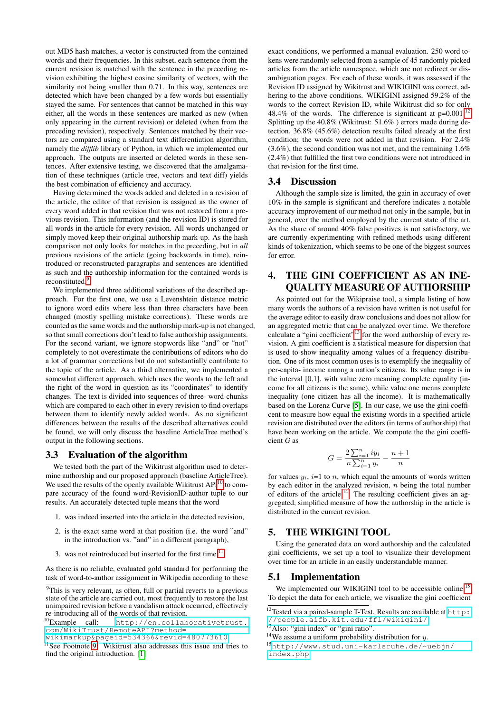out MD5 hash matches, a vector is constructed from the contained words and their frequencies. In this subset, each sentence from the current revision is matched with the sentence in the preceding revision exhibiting the highest cosine similarity of vectors, with the similarity not being smaller than 0.71. In this way, sentences are detected which have been changed by a few words but essentially stayed the same. For sentences that cannot be matched in this way either, all the words in these sentences are marked as new (when only appearing in the current revision) or deleted (when from the preceding revision), respectively. Sentences matched by their vectors are compared using a standard text differentiation algorithm, namely the *difflib* library of Python, in which we implemented our approach. The outputs are inserted or deleted words in these sentences. After extensive testing, we discovered that the amalgamation of these techniques (article tree, vectors and text diff) yields the best combination of efficiency and accuracy.

Having determined the words added and deleted in a revision of the article, the editor of that revision is assigned as the owner of every word added in that revision that was not restored from a previous revision. This information (and the revision ID) is stored for all words in the article for every revision. All words unchanged or simply moved keep their original authorship mark-up. As the hash comparison not only looks for matches in the preceding, but in *all* previous revisions of the article (going backwards in time), reintroduced or reconstructed paragraphs and sentences are identified as such and the authorship information for the contained words is reconstituted.<sup>[9](#page-2-4)</sup>

We implemented three additional variations of the described approach. For the first one, we use a Levenshtein distance metric to ignore word edits where less than three characters have been changed (mostly spelling mistake corrections). These words are counted as the same words and the authorship mark-up is not changed, so that small corrections don't lead to false authorship assignments. For the second variant, we ignore stopwords like "and" or "not" completely to not overestimate the contributions of editors who do a lot of grammar corrections but do not substantially contribute to the topic of the article. As a third alternative, we implemented a somewhat different approach, which uses the words to the left and the right of the word in question as its "coordinates" to identify changes. The text is divided into sequences of three- word-chunks which are compared to each other in every revision to find overlaps between them to identify newly added words. As no significant differences between the results of the described alternatives could be found, we will only discuss the baseline ArticleTree method's output in the following sections.

### <span id="page-2-0"></span>3.3 Evaluation of the algorithm

We tested both the part of the Wikitrust algorithm used to determine authorship and our proposed approach (baseline ArticleTree). We used the results of the openly available Wikitrust  $API<sup>10</sup>$  $API<sup>10</sup>$  $API<sup>10</sup>$  to compare accuracy of the found word-RevisionID-author tuple to our results. An accurately detected tuple means that the word

- 1. was indeed inserted into the article in the detected revision,
- 2. is the exact same word at that position (i.e. the word "and" in the introduction vs. "and" in a different paragraph),
- 3. was not reintroduced but inserted for the first time.<sup>[11](#page-2-6)</sup>

As there is no reliable, evaluated gold standard for performing the task of word-to-author assignment in Wikipedia according to these exact conditions, we performed a manual evaluation. 250 word tokens were randomly selected from a sample of 45 randomly picked articles from the article namespace, which are not redirect or disambiguation pages. For each of these words, it was assessed if the Revision ID assigned by Wikitrust and WIKIGINI was correct, adhering to the above conditions. WIKIGINI assigned 59.2% of the words to the correct Revision ID, while Wikitrust did so for only 48.4% of the words. The difference is significant at  $p=0.001$ .<sup>[12](#page-2-7)</sup> Splitting up the 40.8% (Wikitrust: 51.6% ) errors made during detection, 36.8% (45.6%) detection results failed already at the first condition; the words were not added in that revision. For 2.4% (3.6%), the second condition was not met, and the remaining 1.6% (2.4%) that fulfilled the first two conditions were not introduced in that revision for the first time.

### 3.4 Discussion

Although the sample size is limited, the gain in accuracy of over 10% in the sample is significant and therefore indicates a notable accuracy improvement of our method not only in the sample, but in general, over the method employed by the current state of the art. As the share of around 40% false positives is not satisfactory, we are currently experimenting with refined methods using different kinds of tokenization, which seems to be one of the biggest sources for error.

# <span id="page-2-1"></span>4. THE GINI COEFFICIENT AS AN INE-QUALITY MEASURE OF AUTHORSHIP

As pointed out for the Wikipraise tool, a simple listing of how many words the authors of a revision have written is not useful for the average editor to easily draw conclusions and does not allow for an aggregated metric that can be analyzed over time. We therefore calculate a "gini coefficient"[13](#page-2-8) for the word authorship of every revision. A gini coefficient is a statistical measure for dispersion that is used to show inequality among values of a frequency distribution. One of its most common uses is to exemplify the inequality of per-capita- income among a nation's citizens. Its value range is in the interval [0,1], with value zero meaning complete equality (income for all citizens is the same), while value one means complete inequality (one citizen has all the income). It is mathematically based on the Lorenz Curve [\[5\]](#page-4-6). In our case, we use the gini coefficent to measure how equal the existing words in a specified article revision are distributed over the editors (in terms of authorship) that have been working on the article. We compute the the gini coefficient *G* as

$$
G = \frac{2\sum_{i=1}^{n} iy_i}{n\sum_{i=1}^{n} y_i} - \frac{n+1}{n}
$$

for values  $y_i$ ,  $i=1$  to n, which equal the amounts of words written by each editor in the analyzed revision,  $n$  being the total number of editors of the article.<sup>[14](#page-2-9)</sup> The resulting coefficient gives an aggregated, simplified measure of how the authorship in the article is distributed in the current revision.

## <span id="page-2-3"></span>5. THE WIKIGINI TOOL

Using the generated data on word authorship and the calculated gini coefficients, we set up a tool to visualize their development over time for an article in an easily understandable manner.

### <span id="page-2-2"></span>5.1 Implementation

We implemented our WIKIGINI tool to be accessible online.<sup>[15](#page-2-10)</sup> To depict the data for each article, we visualize the gini coefficient

<span id="page-2-4"></span> $9$ This is very relevant, as often, full or partial reverts to a previous state of the article are carried out, most frequently to restore the last unimpaired revision before a vandalism attack occurred, effectively re-introducing all of the words of that revision.<br><sup>10</sup>Example call: http://en.collab

<span id="page-2-5"></span>[http://en.collaborativetrust.](http://en.collaborativetrust.com/WikiTrust/RemoteAPI?method=wikimarkup&pageid=534366&revid=480773610) [com/WikiTrust/RemoteAPI?method=](http://en.collaborativetrust.com/WikiTrust/RemoteAPI?method=wikimarkup&pageid=534366&revid=480773610)

[wikimarkup&pageid=534366&revid=480773610](http://en.collaborativetrust.com/WikiTrust/RemoteAPI?method=wikimarkup&pageid=534366&revid=480773610)

<span id="page-2-6"></span> $11$ See Footnote [9.](#page-2-4) Wikitrust also addresses this issue and tries to find the original introduction. [\[1\]](#page-4-3)

<span id="page-2-7"></span><sup>12</sup>Tested via a paired-sample T-Test. Results are available at [http:](http://people.aifb.kit.edu/ffl/wikigini/) [//people.aifb.kit.edu/ffl/wikigini/](http://people.aifb.kit.edu/ffl/wikigini/)

<span id="page-2-8"></span> $^{13}$ Also: "gini index" or "gini ratio".

<span id="page-2-9"></span><sup>&</sup>lt;sup>14</sup>We assume a uniform probability distribution for  $y$ .

<span id="page-2-10"></span><sup>15</sup>[http://www.stud.uni-karlsruhe.de/~uebjn/](http://www.stud.uni-karlsruhe.de/~uebjn/index.php) [index.php](http://www.stud.uni-karlsruhe.de/~uebjn/index.php)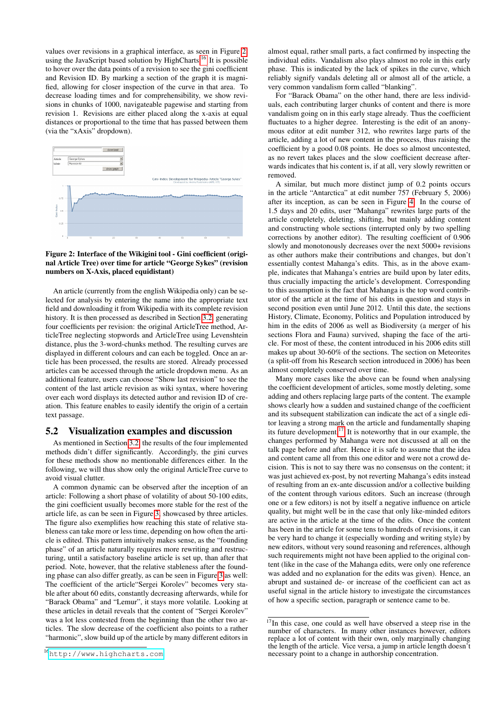values over revisions in a graphical interface, as seen in Figure [2,](#page-3-1) using the JavaScript based solution by HighCharts.[16](#page-3-2) It is possible to hover over the data points of a revision to see the gini coefficient and Revision ID. By marking a section of the graph it is magnified, allowing for closer inspection of the curve in that area. To decrease loading times and for comprehensibility, we show revisions in chunks of 1000, navigateable pagewise and starting from revision 1. Revisions are either placed along the x-axis at equal distances or proportional to the time that has passed between them (via the "xAxis" dropdown).



#### <span id="page-3-1"></span>Figure 2: Interface of the Wikigini tool - Gini coefficient (original Article Tree) over time for article "George Sykes" (revision numbers on X-Axis, placed equidistant)

An article (currently from the english Wikipedia only) can be selected for analysis by entering the name into the appropriate text field and downloading it from Wikipedia with its complete revision history. It is then processed as described in Section [3.2,](#page-1-1) generating four coefficients per revision: the original ArticleTree method, ArticleTree neglecting stopwords and ArticleTree using Levenshtein distance, plus the 3-word-chunks method. The resulting curves are displayed in different colours and can each be toggled. Once an article has been processed, the results are stored. Already processed articles can be accessed through the article dropdown menu. As an additional feature, users can choose "Show last revision" to see the content of the last article revision as wiki syntax, where hovering over each word displays its detected author and revision ID of creation. This feature enables to easily identify the origin of a certain text passage.

### <span id="page-3-0"></span>5.2 Visualization examples and discussion

As mentioned in Section [3.2,](#page-1-1) the results of the four implemented methods didn't differ significantly. Accordingly, the gini curves for these methods show no mentionable differences either. In the following, we will thus show only the original ArticleTree curve to avoid visual clutter.

A common dynamic can be observed after the inception of an article: Following a short phase of volatility of about 50-100 edits, the gini coefficient usually becomes more stable for the rest of the article life, as can be seen in Figure [3,](#page-4-7) showcased by three articles. The figure also exemplifies how reaching this state of relative stableness can take more or less time, depending on how often the article is edited. This pattern intuitively makes sense, as the "founding phase" of an article naturally requires more rewriting and restructuring, until a satisfactory baseline article is set up, than after that period. Note, however, that the relative stableness after the founding phase can also differ greatly, as can be seen in Figure [3](#page-4-7) as well: The coefficient of the article"Sergei Korolev" becomes very stable after about 60 edits, constantly decreasing afterwards, while for "Barack Obama" and "Lemur", it stays more volatile. Looking at these articles in detail reveals that the content of "Sergei Korolev" was a lot less contested from the beginning than the other two articles. The slow decrease of the coefficient also points to a rather "harmonic", slow build up of the article by many different editors in

almost equal, rather small parts, a fact confirmed by inspecting the individual edits. Vandalism also plays almost no role in this early phase. This is indicated by the lack of spikes in the curve, which reliably signify vandals deleting all or almost all of the article, a very common vandalism form called "blanking".

For "Barack Obama" on the other hand, there are less individuals, each contributing larger chunks of content and there is more vandalism going on in this early stage already. Thus the coefficient fluctuates to a higher degree. Interesting is the edit of an anonymous editor at edit number 312, who rewrites large parts of the article, adding a lot of new content in the process, thus raising the coefficient by a good 0.08 points. He does so almost uncontested, as no revert takes places and the slow coefficient decrease afterwards indicates that his content is, if at all, very slowly rewritten or removed.

A similar, but much more distinct jump of 0.2 points occurs in the article "Antarctica" at edit number 757 (February 5, 2006) after its inception, as can be seen in Figure [4:](#page-4-8) In the course of 1.5 days and 20 edits, user "Mahanga" rewrites large parts of the article completely, deleting, shifting, but mainly adding content and constructing whole sections (interrupted only by two spelling corrections by another editor). The resulting coefficient of 0.906 slowly and monotonously decreases over the next 5000+ revisions as other authors make their contributions and changes, but don't essentially contest Mahanga's edits. This, as in the above example, indicates that Mahanga's entries are build upon by later edits, thus crucially impacting the article's development. Corresponding to this assumption is the fact that Mahanga is the top word contributor of the article at the time of his edits in question and stays in second position even until June 2012. Until this date, the sections History, Climate, Economy, Politics and Population introduced by him in the edits of 2006 as well as Biodiversity (a merger of his sections Flora and Fauna) survived, shaping the face of the article. For most of these, the content introduced in his 2006 edits still makes up about 30-60% of the sections. The section on Meteorites (a split-off from his Research section introduced in 2006) has been almost completely conserved over time.

Many more cases like the above can be found when analysing the coefficient development of articles, some mostly deleting, some adding and others replacing large parts of the content. The example shows clearly how a sudden and sustained change of the coefficient and its subsequent stabilization can indicate the act of a single editor leaving a strong mark on the article and fundamentally shaping its future development.<sup>[17](#page-3-3)</sup> It is noteworthy that in our example, the changes performed by Mahanga were not discussed at all on the talk page before and after. Hence it is safe to assume that the idea and content came all from this one editor and were not a crowd decision. This is not to say there was no consensus on the content; it was just achieved ex-post, by not reverting Mahanga's edits instead of resulting from an ex-ante discussion and/or a collective building of the content through various editors. Such an increase (through one or a few editors) is not by itself a negative influence on article quality, but might well be in the case that only like-minded editors are active in the article at the time of the edits. Once the content has been in the article for some tens to hundreds of revisions, it can be very hard to change it (especially wording and writing style) by new editors, without very sound reasoning and references, although such requirements might not have been applied to the original content (like in the case of the Mahanga edits, were only one reference was added and no explanation for the edits was given). Hence, an abrupt and sustained de- or increase of the coefficient can act as useful signal in the article history to investigate the circumstances of how a specific section, paragraph or sentence came to be.

<span id="page-3-2"></span><sup>16</sup><http://www.highcharts.com>

<span id="page-3-3"></span> $17$ In this case, one could as well have observed a steep rise in the number of characters. In many other instances however, editors replace a lot of content with their own, only marginally changing the length of the article. Vice versa, a jump in article length doesn't necessary point to a change in authorship concentration.